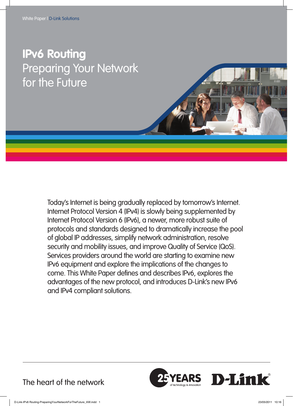# **IPv6 Routing** Preparing Your Network for the Future

Today's Internet is being gradually replaced by tomorrow's Internet. Internet Protocol Version 4 (IPv4) is slowly being supplemented by Internet Protocol Version 6 (IPv6), a newer, more robust suite of protocols and standards designed to dramatically increase the pool of global IP addresses, simplify network administration, resolve security and mobility issues, and improve Quality of Service (QoS). Services providers around the world are starting to examine new IPv6 equipment and explore the implications of the changes to come. This White Paper defines and describes IPv6, explores the advantages of the new protocol, and introduces D-Link's new IPv6 and IPv4 compliant solutions.



The heart of the network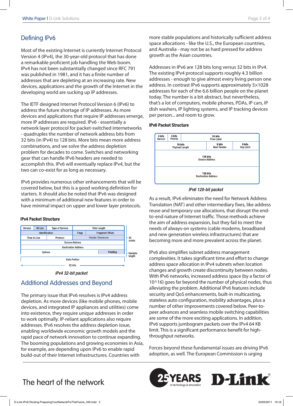### Defining IPv6

Most of the existing Internet is currently Internet Protocol Version 4 (IPv4), the 30-year-old protocol that has done a remarkable proficient job handling the Web boom. IPv4 has not been substantially changed since RFC 791 was published in 1981, and it has a finite number of addresses that are depleting at an increasing rate. New devices, applications and the growth of the Internet in the developing world are sucking up IP addresses.

The IETF designed Internet Protocol Version 6 (IPv6) to address the future shortage of IP addresses. As more devices and applications that require IP addresses emerge, more IP addresses are required. IPv6 - essentially a network layer protocol for packet-switched internetworks - quadruples the number of network address bits from 32 bits (in IPv4) to 128 bits. More bits mean more address combinations, and we solve the address depletion problem for decades to come. Switches and networking gear that can handle IPv6 headers are needed to accomplish this. IPv6 will eventually replace IPv4, but the two can co-exist for as long as necessary.

IPv6 provides numerous other enhancements that will be covered below, but this is a good working definition for starters. It should also be noted that IPv6 was designed with a minimum of additional new features in order to have minimal impact on upper and lower layer protocols.

#### **IPv4 Packet Structure**



IPv4 32-bit packet

## Additional Addresses and Beyond

The primary issue that IPv6 resolves is IPv4 address depletion. As more devices (like mobile phones, mobile devices, and integrated IP appliances and utilities) come into existence, they require unique addresses in order to work optimally. IP-reliant applications also require addresses. IPv6 resolves the address depletion issue, enabling worldwide economic growth models and the rapid pace of network innovation to continue expanding. The booming populations and growing economies in Asia, for example, are depending upon IPv6 to enable rapid build-out of their Internet infrastructures. Countries with

more stable populations and historically sufficient address space allocations - like the U.S., the European countries, and Australia - may not be as hard pressed for address growth as the Asian countries.

Addresses in IPv6 are 128 bits long versus 32 bits in IPv4. The existing IPv4 protocol supports roughly 4.3 billion addresses - enough to give almost every living person one address. In contrast IPv6 supports approximately 5×1028 addresses for each of the 6.6 billion people on the planet today. The number is a bit abstract, but nevertheless, that's a lot of computers, mobile phones, PDAs, IP cars, IP dish washers, IP lighting systems, and IP tracking devices per person... and room to grow.

#### **IPv6 Packet Structure**



#### IPv6 128-bit packet

As a result, IPv6 eliminates the need for Network Address Translation (NAT) and other intermediary fixes, like address reuse and temporary use allocations, that disrupt the endto-end nature of Internet traffic. Those methods achieve the aim of address expansion, but they fail to meet the needs of always-on systems (cable modems, broadband and new generation wireless infrastructures) that are becoming more and more prevalent across the planet.

IPv6 also simplifies subnet address management complexities. It takes significant time and effort to change address space allocation in IPv4 subnets when location changes and growth create discontinuity between nodes. With IPv6 networks, increased address space (by a factor of 10^16) goes far beyond the number of physical nodes, thus alleviating the problem. Additional IPv6 features include security and QoS enhancements, built-in multicasting, stateless auto configuration, mobility advantages, plus a number of other improvements covered below. Peer-topeer advances and seamless mobile switching capabilities are some of the more exciting applications. In addition, IPv6 supports jumbogram packets over the IPv4 64 KB limit. This is a significant performance benefit for highthroughput networks.

Forces beyond these fundamental issues are driving IPv6 adoption, as well. The European Commission is urging



# The heart of the network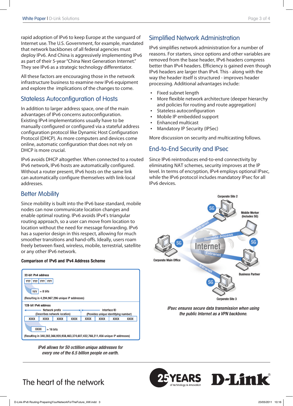rapid adoption of IPv6 to keep Europe at the vanguard of Internet use. The U.S. Government, for example, mandated that network backbones of all federal agencies must deploy IPv6. And China is aggressively implementing IPv6 as part of their 5-year "China Next Generation Internet." They see IPv6 as a strategic technology differentiator.

All these factors are encouraging those in the network infrastructure business to examine new IPv6 equipment and explore the implications of the changes to come.

### Stateless Autoconfiguration of Hosts

In addition to larger address space, one of the main advantages of IPv6 concerns autoconfiguration. Existing IPv4 implementations usually have to be manually configured or configured via a stateful address configuration protocol like Dynamic Host Configuration Protocol (DHCP). As more computers and devices come online, automatic configuration that does not rely on DHCP is more crucial.

IPv6 avoids DHCP altogether. When connected to a routed IPv6 network, IPv6 hosts are automatically configured. Without a router present, IPv6 hosts on the same link can automatically configure themselves with link-local addresses.

### Better Mobility

Since mobility is built into the IPv6 base standard, mobile nodes can now communicate location changes and enable optimal routing. IPv6 avoids IPv4's triangular routing approach, so a user can move from location to location without the need for message forwarding. IPv6 has a superior design in this respect, allowing for much smoother transitions and hand-offs. Ideally, users roam freely between fixed, wireless, mobile, terrestrial, satellite or any other IPv6 network.

#### **Comparison of IPv6 and IPv4 Address Scheme**



IPv6 allows for 50 octillion unique addresses for every one of the 6.5 billion people on earth.

### Simplified Network Administration

IPv6 simplifies network administration for a number of reasons. For starters, since options and other variables are removed from the base header, IPv6 headers compress better than IPv4 headers. Efficiency is gained even though IPv6 headers are larger than IPv4. This - along with the way the header itself is structured - improves header processing. Additional advantages include:

- • Fixed subnet length
- More flexible network architecture (deeper hierarchy and policies for routing and route aggregation)
- Stateless autoconfiguration
- Mobile IP embedded support
- **Enhanced multicast**
- **Mandatory IP Security (IPSec)**

More discussion on security and multicasting follows.

### End-to-End Security and IPsec

Since IPv6 reintroduces end-to-end connectivity by eliminating NAT schemes, security improves at the IP level. In terms of encryption, IPv4 employs optional IPsec, while the IPv6 protocol includes mandatory IPsec for all IPv6 devices.



IPsec ensures secure data transmission when using the public Internet as a VPN backbone.



# The heart of the network